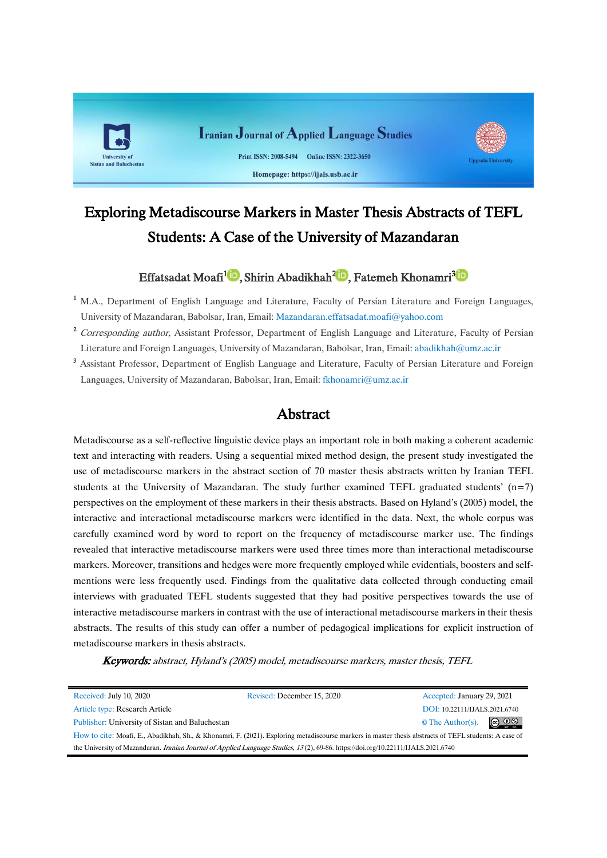

# Exploring Metadiscourse Markers in Master Thesis Abstracts of TEFL Students: A Case of the University of Mazandaran

# Effatsadat Moafi<sup>1</sup>D[,](https://orcid.org/0000-0002-6833-5347)Shirin Abadikhah<sup>2</sup>D, Fatemeh Khonamri<sup>3</sup>D

- <sup>1</sup> M.A., Department of English Language and Literature, Faculty of Persian Literature and Foreign Languages, University of Mazandaran, Babolsar, Iran, Email: [Mazandaran.effatsadat.moafi@yahoo.com](mailto:Mazandaran.effatsadat.moafi@yahoo.com)
- <sup>2</sup> Corresponding author, Assistant Professor, Department of English Language and Literature, Faculty of Persian Literature and Foreign Languages, University of Mazandaran, Babolsar, Iran, Email: [abadikhah@umz.ac.ir](mailto:abadikhah@umz.ac.ir)
- <sup>3</sup> Assistant Professor, Department of English Language and Literature, Faculty of Persian Literature and Foreign Languages, University of Mazandaran, Babolsar, Iran, Email: [fkhonamri@umz.ac.ir](mailto:fkhonamri@umz.ac.ir)

# Abstract

Metadiscourse as a self-reflective linguistic device plays an important role in both making a coherent academic text and interacting with readers. Using a sequential mixed method design, the present study investigated the use of metadiscourse markers in the abstract section of 70 master thesis abstracts written by Iranian TEFL students at the University of Mazandaran. The study further examined TEFL graduated students'  $(n=7)$ perspectives on the employment of these markers in their thesis abstracts. Based on Hyland's (2005) model, the interactive and interactional metadiscourse markers were identified in the data. Next, the whole corpus was carefully examined word by word to report on the frequency of metadiscourse marker use. The findings revealed that interactive metadiscourse markers were used three times more than interactional metadiscourse markers. Moreover, transitions and hedges were more frequently employed while evidentials, boosters and selfmentions were less frequently used. Findings from the qualitative data collected through conducting email interviews with graduated TEFL students suggested that they had positive perspectives towards the use of interactive metadiscourse markers in contrast with the use of interactional metadiscourse markers in their thesis abstracts. The results of this study can offer a number of pedagogical implications for explicit instruction of metadiscourse markers in thesis abstracts.

Keywords: abstract, Hyland's (2005) model, metadiscourse markers, master thesis, TEFL

| Received: July 10, 2020<br>Revised: December 15, 2020                                                                                                 |  | Accepted: January 29, 2021    |                               |  |  |  |
|-------------------------------------------------------------------------------------------------------------------------------------------------------|--|-------------------------------|-------------------------------|--|--|--|
| Article type: Research Article                                                                                                                        |  | DOI: 10.22111/IJALS.2021.6740 |                               |  |  |  |
| Publisher: University of Sistan and Baluchestan                                                                                                       |  | $\circ$ The Author(s).        | $\circledcirc$ $\circledcirc$ |  |  |  |
| How to cite: Moafi, E., Abadikhah, Sh., & Khonamri, F. (2021). Exploring metadiscourse markers in master thesis abstracts of TEFL students: A case of |  |                               |                               |  |  |  |
| the University of Mazandaran. <i>Iranian Journal of Applied Language Studies</i> , 13(2), 69-86. https://doi.org/10.22111/IJALS.2021.6740             |  |                               |                               |  |  |  |

Ĭ.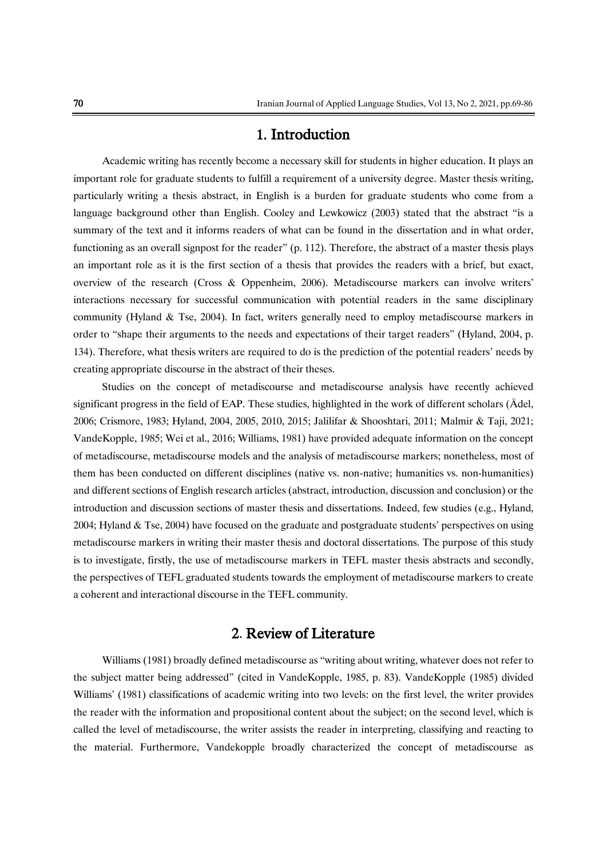# 1. Introduction

Academic writing has recently become a necessary skill for students in higher education. It plays an important role for graduate students to fulfill a requirement of a university degree. Master thesis writing, particularly writing a thesis abstract, in English is a burden for graduate students who come from a language background other than English. Cooley and Lewkowicz (2003) stated that the abstract "is a summary of the text and it informs readers of what can be found in the dissertation and in what order, functioning as an overall signpost for the reader" (p. 112). Therefore, the abstract of a master thesis plays an important role as it is the first section of a thesis that provides the readers with a brief, but exact, overview of the research (Cross & Oppenheim, 2006). Metadiscourse markers can involve writers' interactions necessary for successful communication with potential readers in the same disciplinary community (Hyland & Tse, 2004). In fact, writers generally need to employ metadiscourse markers in order to "shape their arguments to the needs and expectations of their target readers" (Hyland, 2004, p. 134). Therefore, what thesis writers are required to do is the prediction of the potential readers' needs by creating appropriate discourse in the abstract of their theses.

Studies on the concept of metadiscourse and metadiscourse analysis have recently achieved significant progress in the field of EAP. These studies, highlighted in the work of different scholars (Ädel, 2006; Crismore, 1983; Hyland, 2004, 2005, 2010, 2015; Jalilifar & Shooshtari, 2011; Malmir & Taji, 2021; VandeKopple, 1985; Wei et al., 2016; Williams, 1981) have provided adequate information on the concept of metadiscourse, metadiscourse models and the analysis of metadiscourse markers; nonetheless, most of them has been conducted on different disciplines (native vs. non-native; humanities vs. non-humanities) and different sections of English research articles (abstract, introduction, discussion and conclusion) or the introduction and discussion sections of master thesis and dissertations. Indeed, few studies (e.g., Hyland, 2004; Hyland & Tse, 2004) have focused on the graduate and postgraduate students' perspectives on using metadiscourse markers in writing their master thesis and doctoral dissertations. The purpose of this study is to investigate, firstly, the use of metadiscourse markers in TEFL master thesis abstracts and secondly, the perspectives of TEFL graduated students towards the employment of metadiscourse markers to create a coherent and interactional discourse in the TEFL community.

# 2. Review of Literature

Williams (1981) broadly defined metadiscourse as "writing about writing, whatever does not refer to the subject matter being addressed" (cited in VandeKopple, 1985, p. 83). VandeKopple (1985) divided Williams' (1981) classifications of academic writing into two levels: on the first level, the writer provides the reader with the information and propositional content about the subject; on the second level, which is called the level of metadiscourse, the writer assists the reader in interpreting, classifying and reacting to the material. Furthermore, Vandekopple broadly characterized the concept of metadiscourse as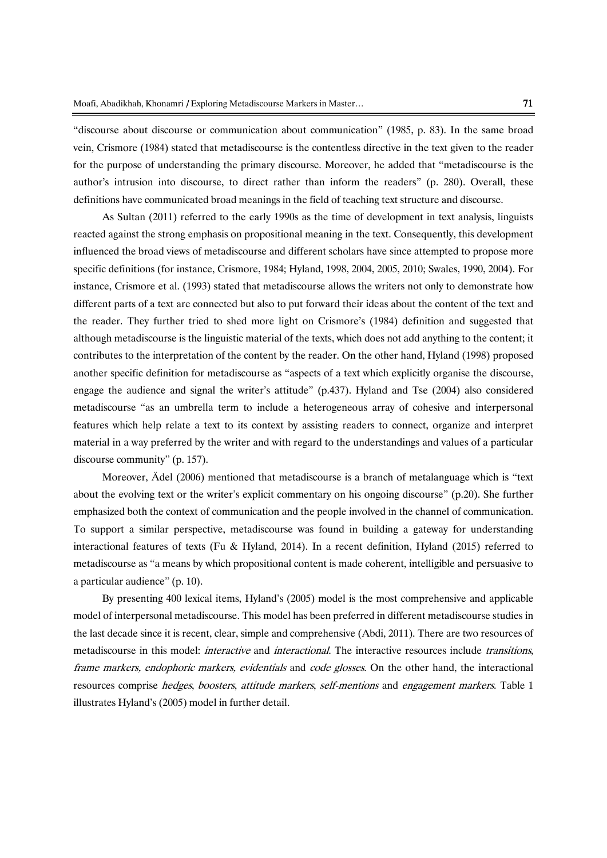"discourse about discourse or communication about communication" (1985, p. 83). In the same broad vein, Crismore (1984) stated that metadiscourse is the contentless directive in the text given to the reader for the purpose of understanding the primary discourse. Moreover, he added that "metadiscourse is the author's intrusion into discourse, to direct rather than inform the readers" (p. 280). Overall, these definitions have communicated broad meanings in the field of teaching text structure and discourse.

As Sultan (2011) referred to the early 1990s as the time of development in text analysis, linguists reacted against the strong emphasis on propositional meaning in the text. Consequently, this development influenced the broad views of metadiscourse and different scholars have since attempted to propose more specific definitions (for instance, Crismore, 1984; Hyland, 1998, 2004, 2005, 2010; Swales, 1990, 2004). For instance, Crismore et al. (1993) stated that metadiscourse allows the writers not only to demonstrate how different parts of a text are connected but also to put forward their ideas about the content of the text and the reader. They further tried to shed more light on Crismore's (1984) definition and suggested that although metadiscourse is the linguistic material of the texts, which does not add anything to the content; it contributes to the interpretation of the content by the reader. On the other hand, Hyland (1998) proposed another specific definition for metadiscourse as "aspects of a text which explicitly organise the discourse, engage the audience and signal the writer's attitude" (p.437). Hyland and Tse (2004) also considered metadiscourse "as an umbrella term to include a heterogeneous array of cohesive and interpersonal features which help relate a text to its context by assisting readers to connect, organize and interpret material in a way preferred by the writer and with regard to the understandings and values of a particular discourse community" (p. 157).

Moreover, Ädel (2006) mentioned that metadiscourse is a branch of metalanguage which is "text about the evolving text or the writer's explicit commentary on his ongoing discourse" (p.20). She further emphasized both the context of communication and the people involved in the channel of communication. To support a similar perspective, metadiscourse was found in building a gateway for understanding interactional features of texts (Fu & Hyland, 2014). In a recent definition, Hyland (2015) referred to metadiscourse as "a means by which propositional content is made coherent, intelligible and persuasive to a particular audience" (p. 10).

By presenting 400 lexical items, Hyland's (2005) model is the most comprehensive and applicable model of interpersonal metadiscourse. This model has been preferred in different metadiscourse studies in the last decade since it is recent, clear, simple and comprehensive (Abdi, 2011). There are two resources of metadiscourse in this model: *interactive* and *interactional*. The interactive resources include *transitions*, frame markers, endophoric markers, evidentials and code glosses. On the other hand, the interactional resources comprise hedges, boosters, attitude markers, self-mentions and engagement markers. Table 1 illustrates Hyland's (2005) model in further detail.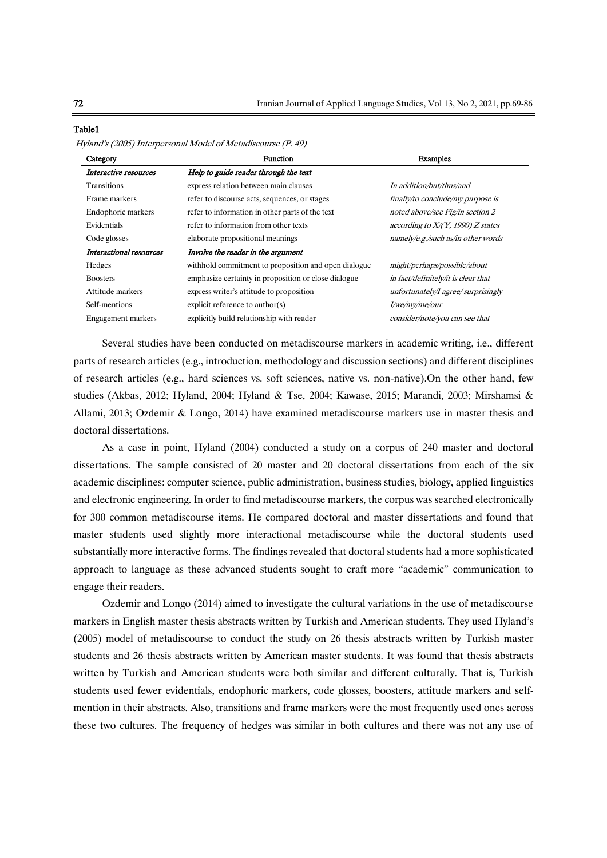| Category                | <b>Function</b>                                      | <b>Examples</b>                     |  |  |
|-------------------------|------------------------------------------------------|-------------------------------------|--|--|
| Interactive resources   | Help to guide reader through the text                |                                     |  |  |
| <b>Transitions</b>      | express relation between main clauses                | In addition/but/thus/and            |  |  |
| Frame markers           | refer to discourse acts, sequences, or stages        | finally/to conclude/my purpose is   |  |  |
| Endophoric markers      | refer to information in other parts of the text      | noted above/see Fig/in section 2    |  |  |
| Evidentials             | refer to information from other texts                | according to $X/(Y, 1990)Z$ states  |  |  |
| Code glosses            | elaborate propositional meanings                     | namely/e.g./such as/in other words  |  |  |
| Interactional resources | Involve the reader in the argument                   |                                     |  |  |
| Hedges                  | withhold commitment to proposition and open dialogue | might/perhaps/possible/about        |  |  |
| <b>Boosters</b>         | emphasize certainty in proposition or close dialogue | in fact/definitely/it is clear that |  |  |
| Attitude markers        | express writer's attitude to proposition             | unfortunately/I agree/surprisingly  |  |  |
| Self-mentions           | explicit reference to author( $s$ )                  | I/we/my/me/our                      |  |  |
| Engagement markers      | explicitly build relationship with reader            | consider/note/you can see that      |  |  |

#### Table1

Several studies have been conducted on metadiscourse markers in academic writing, i.e., different parts of research articles (e.g., introduction, methodology and discussion sections) and different disciplines of research articles (e.g., hard sciences vs. soft sciences, native vs. non-native).On the other hand, few studies (Akbas, 2012; Hyland, 2004; Hyland & Tse, 2004; Kawase, 2015; Marandi, 2003; Mirshamsi & Allami, 2013; Ozdemir & Longo, 2014) have examined metadiscourse markers use in master thesis and doctoral dissertations.

As a case in point, Hyland (2004) conducted a study on a corpus of 240 master and doctoral dissertations. The sample consisted of 20 master and 20 doctoral dissertations from each of the six academic disciplines: computer science, public administration, business studies, biology, applied linguistics and electronic engineering. In order to find metadiscourse markers, the corpus was searched electronically for 300 common metadiscourse items. He compared doctoral and master dissertations and found that master students used slightly more interactional metadiscourse while the doctoral students used substantially more interactive forms. The findings revealed that doctoral students had a more sophisticated approach to language as these advanced students sought to craft more "academic" communication to engage their readers.

Ozdemir and Longo (2014) aimed to investigate the cultural variations in the use of metadiscourse markers in English master thesis abstracts written by Turkish and American students. They used Hyland's (2005) model of metadiscourse to conduct the study on 26 thesis abstracts written by Turkish master students and 26 thesis abstracts written by American master students. It was found that thesis abstracts written by Turkish and American students were both similar and different culturally. That is, Turkish students used fewer evidentials, endophoric markers, code glosses, boosters, attitude markers and selfmention in their abstracts. Also, transitions and frame markers were the most frequently used ones across these two cultures. The frequency of hedges was similar in both cultures and there was not any use of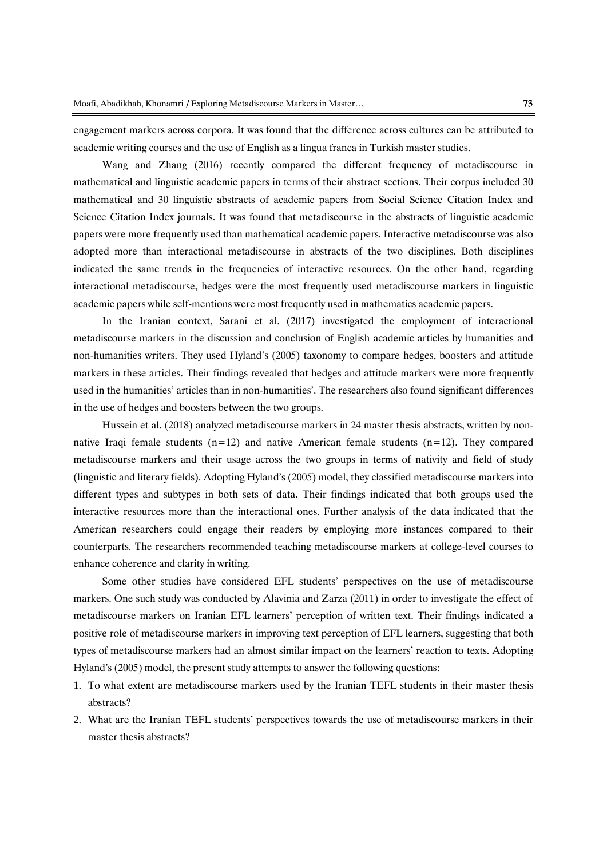engagement markers across corpora. It was found that the difference across cultures can be attributed to academic writing courses and the use of English as a lingua franca in Turkish master studies.

Wang and Zhang (2016) recently compared the different frequency of metadiscourse in mathematical and linguistic academic papers in terms of their abstract sections. Their corpus included 30 mathematical and 30 linguistic abstracts of academic papers from Social Science Citation Index and Science Citation Index journals. It was found that metadiscourse in the abstracts of linguistic academic papers were more frequently used than mathematical academic papers. Interactive metadiscourse was also adopted more than interactional metadiscourse in abstracts of the two disciplines. Both disciplines indicated the same trends in the frequencies of interactive resources. On the other hand, regarding interactional metadiscourse, hedges were the most frequently used metadiscourse markers in linguistic academic papers while self-mentions were most frequently used in mathematics academic papers.

In the Iranian context, Sarani et al. (2017) investigated the employment of interactional metadiscourse markers in the discussion and conclusion of English academic articles by humanities and non-humanities writers. They used Hyland's (2005) taxonomy to compare hedges, boosters and attitude markers in these articles. Their findings revealed that hedges and attitude markers were more frequently used in the humanities' articles than in non-humanities'. The researchers also found significant differences in the use of hedges and boosters between the two groups.

Hussein et al. (2018) analyzed metadiscourse markers in 24 master thesis abstracts, written by nonnative Iraqi female students  $(n=12)$  and native American female students  $(n=12)$ . They compared metadiscourse markers and their usage across the two groups in terms of nativity and field of study (linguistic and literary fields). Adopting Hyland's (2005) model, they classified metadiscourse markers into different types and subtypes in both sets of data. Their findings indicated that both groups used the interactive resources more than the interactional ones. Further analysis of the data indicated that the American researchers could engage their readers by employing more instances compared to their counterparts. The researchers recommended teaching metadiscourse markers at college-level courses to enhance coherence and clarity in writing.

Some other studies have considered EFL students' perspectives on the use of metadiscourse markers. One such study was conducted by Alavinia and Zarza (2011) in order to investigate the effect of metadiscourse markers on Iranian EFL learners' perception of written text. Their findings indicated a positive role of metadiscourse markers in improving text perception of EFL learners, suggesting that both types of metadiscourse markers had an almost similar impact on the learners' reaction to texts. Adopting Hyland's (2005) model, the present study attempts to answer the following questions:

- 1. To what extent are metadiscourse markers used by the Iranian TEFL students in their master thesis abstracts?
- 2. What are the Iranian TEFL students' perspectives towards the use of metadiscourse markers in their master thesis abstracts?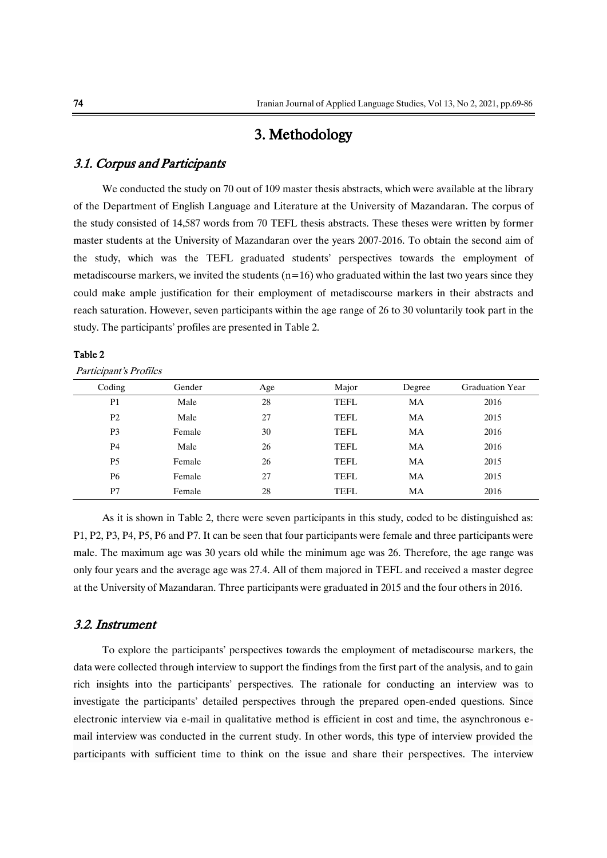# 3. Methodology

### 3.1. Corpus and Participants

We conducted the study on 70 out of 109 master thesis abstracts, which were available at the library of the Department of English Language and Literature at the University of Mazandaran. The corpus of the study consisted of 14,587 words from 70 TEFL thesis abstracts. These theses were written by former master students at the University of Mazandaran over the years 2007-2016. To obtain the second aim of the study, which was the TEFL graduated students' perspectives towards the employment of metadiscourse markers, we invited the students  $(n=16)$  who graduated within the last two years since they could make ample justification for their employment of metadiscourse markers in their abstracts and reach saturation. However, seven participants within the age range of 26 to 30 voluntarily took part in the study. The participants' profiles are presented in Table 2.

### Table 2

Participant's Profiles

| Coding         | Gender | Age | Major       | Degree | <b>Graduation Year</b> |
|----------------|--------|-----|-------------|--------|------------------------|
| P <sub>1</sub> | Male   | 28  | <b>TEFL</b> | MA     | 2016                   |
| P <sub>2</sub> | Male   | 27  | <b>TEFL</b> | MA     | 2015                   |
| P <sub>3</sub> | Female | 30  | <b>TEFL</b> | MA     | 2016                   |
| P <sub>4</sub> | Male   | 26  | <b>TEFL</b> | MA     | 2016                   |
| <b>P5</b>      | Female | 26  | <b>TEFL</b> | MA     | 2015                   |
| P <sub>6</sub> | Female | 27  | <b>TEFL</b> | MA     | 2015                   |
| P7             | Female | 28  | <b>TEFL</b> | MA     | 2016                   |

As it is shown in Table 2, there were seven participants in this study, coded to be distinguished as: P1, P2, P3, P4, P5, P6 and P7. It can be seen that four participants were female and three participants were male. The maximum age was 30 years old while the minimum age was 26. Therefore, the age range was only four years and the average age was 27.4. All of them majored in TEFL and received a master degree at the University of Mazandaran. Three participants were graduated in 2015 and the four others in 2016.

### 3.2. Instrument

To explore the participants' perspectives towards the employment of metadiscourse markers, the data were collected through interview to support the findings from the first part of the analysis, and to gain rich insights into the participants' perspectives. The rationale for conducting an interview was to investigate the participants' detailed perspectives through the prepared open-ended questions. Since electronic interview via e-mail in qualitative method is efficient in cost and time, the asynchronous email interview was conducted in the current study. In other words, this type of interview provided the participants with sufficient time to think on the issue and share their perspectives. The interview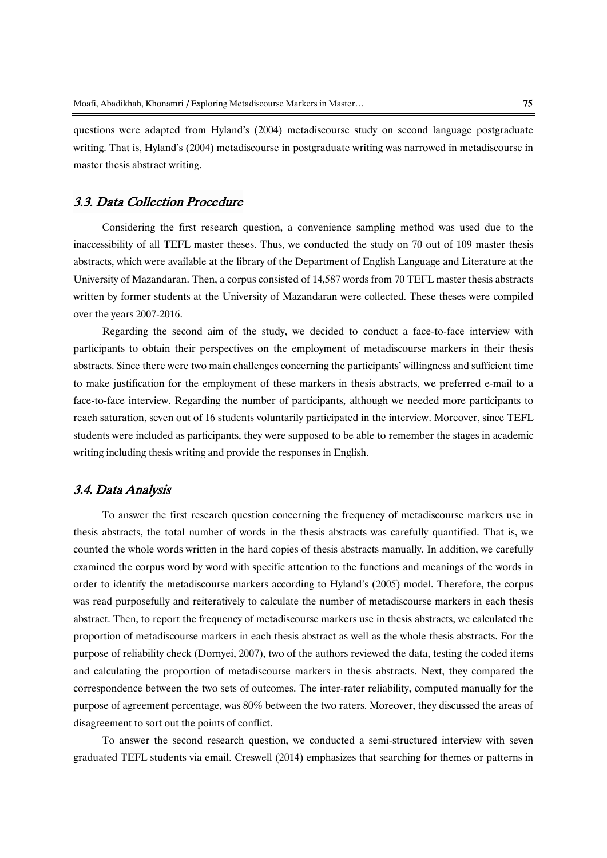questions were adapted from Hyland's (2004) metadiscourse study on second language postgraduate writing. That is, Hyland's (2004) metadiscourse in postgraduate writing was narrowed in metadiscourse in master thesis abstract writing.

## 3.3. Data Collection Procedure

Considering the first research question, a convenience sampling method was used due to the inaccessibility of all TEFL master theses. Thus, we conducted the study on 70 out of 109 master thesis abstracts, which were available at the library of the Department of English Language and Literature at the University of Mazandaran. Then, a corpus consisted of 14,587 words from 70 TEFL master thesis abstracts written by former students at the University of Mazandaran were collected. These theses were compiled over the years 2007-2016.

Regarding the second aim of the study, we decided to conduct a face-to-face interview with participants to obtain their perspectives on the employment of metadiscourse markers in their thesis abstracts. Since there were two main challenges concerning the participants' willingness and sufficient time to make justification for the employment of these markers in thesis abstracts, we preferred e-mail to a face-to-face interview. Regarding the number of participants, although we needed more participants to reach saturation, seven out of 16 students voluntarily participated in the interview. Moreover, since TEFL students were included as participants, they were supposed to be able to remember the stages in academic writing including thesis writing and provide the responses in English.

# 3.4. Data Analysis

To answer the first research question concerning the frequency of metadiscourse markers use in thesis abstracts, the total number of words in the thesis abstracts was carefully quantified. That is, we counted the whole words written in the hard copies of thesis abstracts manually. In addition, we carefully examined the corpus word by word with specific attention to the functions and meanings of the words in order to identify the metadiscourse markers according to Hyland's (2005) model. Therefore, the corpus was read purposefully and reiteratively to calculate the number of metadiscourse markers in each thesis abstract. Then, to report the frequency of metadiscourse markers use in thesis abstracts, we calculated the proportion of metadiscourse markers in each thesis abstract as well as the whole thesis abstracts. For the purpose of reliability check (Dornyei, 2007), two of the authors reviewed the data, testing the coded items and calculating the proportion of metadiscourse markers in thesis abstracts. Next, they compared the correspondence between the two sets of outcomes. The inter-rater reliability, computed manually for the purpose of agreement percentage, was 80% between the two raters. Moreover, they discussed the areas of disagreement to sort out the points of conflict.

To answer the second research question, we conducted a semi-structured interview with seven graduated TEFL students via email. Creswell (2014) emphasizes that searching for themes or patterns in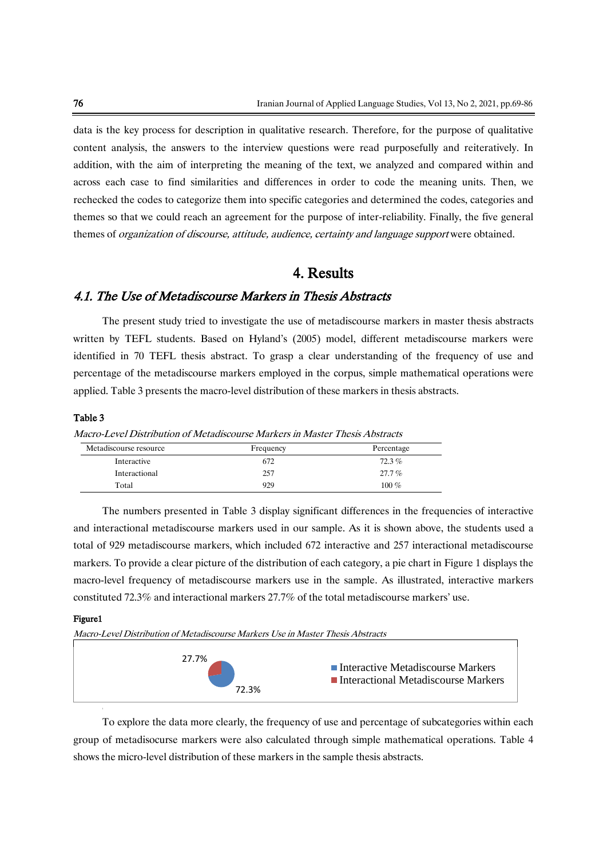data is the key process for description in qualitative research. Therefore, for the purpose of qualitative content analysis, the answers to the interview questions were read purposefully and reiteratively. In addition, with the aim of interpreting the meaning of the text, we analyzed and compared within and across each case to find similarities and differences in order to code the meaning units. Then, we rechecked the codes to categorize them into specific categories and determined the codes, categories and themes so that we could reach an agreement for the purpose of inter-reliability. Finally, the five general themes of *organization of discourse*, *attitude*, *audience*, *certainty and language support* were obtained.

# 4. Results

### 4.1. The Use of Metadiscourse Markers in Thesis Abstracts

The present study tried to investigate the use of metadiscourse markers in master thesis abstracts written by TEFL students. Based on Hyland's (2005) model, different metadiscourse markers were identified in 70 TEFL thesis abstract. To grasp a clear understanding of the frequency of use and percentage of the metadiscourse markers employed in the corpus, simple mathematical operations were applied. Table 3 presents the macro-level distribution of these markers in thesis abstracts.

#### Table 3

Macro-Level Distribution of Metadiscourse Markers in Master Thesis Abstracts

| Metadiscourse resource | Frequency | Percentage |
|------------------------|-----------|------------|
| Interactive            | 672       | $72.3\%$   |
| Interactional          | 257       | $27.7\%$   |
| Total                  | 929       | $100\%$    |

The numbers presented in Table 3 display significant differences in the frequencies of interactive and interactional metadiscourse markers used in our sample. As it is shown above, the students used a total of 929 metadiscourse markers, which included 672 interactive and 257 interactional metadiscourse markers. To provide a clear picture of the distribution of each category, a pie chart in Figure 1 displays the macro-level frequency of metadiscourse markers use in the sample. As illustrated, interactive markers constituted 72.3% and interactional markers 27.7% of the total metadiscourse markers' use.

#### Figure1

Macro-Level Distribution of Metadiscourse Markers Use in Master Thesis Abstracts



To explore the data more clearly, the frequency of use and percentage of subcategories within each group of metadisocurse markers were also calculated through simple mathematical operations. Table 4 shows the micro-level distribution of these markers in the sample thesis abstracts.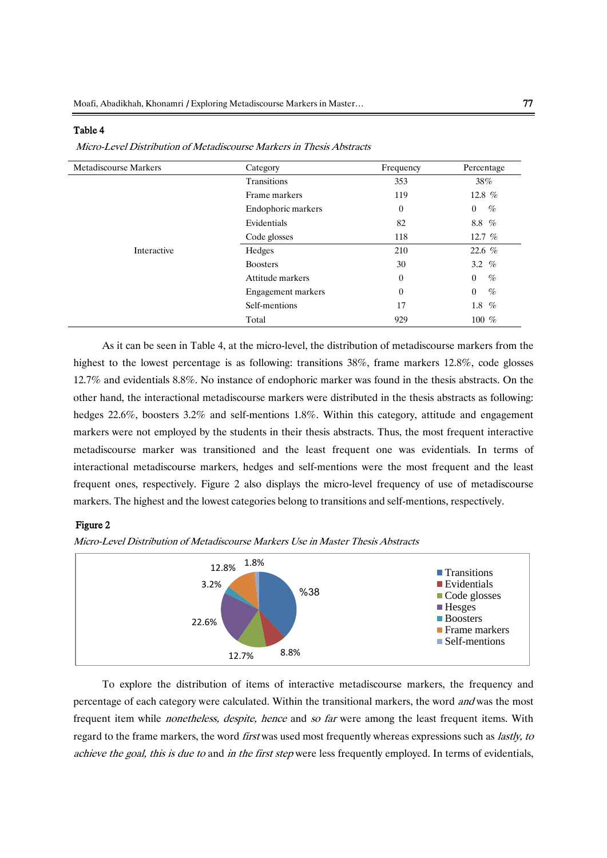#### Table 4

| Micro-Level Distribution of Metadiscourse Markers in Thesis Abstracts |
|-----------------------------------------------------------------------|
|-----------------------------------------------------------------------|

| <b>Metadiscourse Markers</b> | Category           | Frequency      | Percentage             |
|------------------------------|--------------------|----------------|------------------------|
|                              | <b>Transitions</b> | 353            | 38%                    |
|                              | Frame markers      | 119            | 12.8 %                 |
|                              | Endophoric markers | $\overline{0}$ | $\%$<br>$\overline{0}$ |
|                              | Evidentials        | 82             | 8.8 %                  |
|                              | Code glosses       | 118            | 12.7 $%$               |
| Interactive                  | Hedges             | 210            | 22.6 $%$               |
|                              | <b>Boosters</b>    | 30             | 3.2 $%$                |
|                              | Attitude markers   | $\overline{0}$ | %<br>$\overline{0}$    |
|                              | Engagement markers | $\overline{0}$ | $\%$<br>$\overline{0}$ |
|                              | Self-mentions      | 17             | 1.8 $%$                |
|                              | Total              | 929            | $100\%$                |

As it can be seen in Table 4, at the micro-level, the distribution of metadiscourse markers from the highest to the lowest percentage is as following: transitions 38%, frame markers 12.8%, code glosses 12.7% and evidentials 8.8%. No instance of endophoric marker was found in the thesis abstracts. On the other hand, the interactional metadiscourse markers were distributed in the thesis abstracts as following: hedges 22.6%, boosters 3.2% and self-mentions 1.8%. Within this category, attitude and engagement markers were not employed by the students in their thesis abstracts. Thus, the most frequent interactive metadiscourse marker was transitioned and the least frequent one was evidentials. In terms of interactional metadiscourse markers, hedges and self-mentions were the most frequent and the least frequent ones, respectively. Figure 2 also displays the micro-level frequency of use of metadiscourse markers. The highest and the lowest categories belong to transitions and self-mentions, respectively.

#### Figure 2

Micro-Level Distribution of Metadiscourse Markers Use in Master Thesis Abstracts



To explore the distribution of items of interactive metadiscourse markers, the frequency and percentage of each category were calculated. Within the transitional markers, the word and was the most frequent item while *nonetheless, despite, hence* and so far were among the least frequent items. With regard to the frame markers, the word first was used most frequently whereas expressions such as lastly, to achieve the goal, this is due to and in the first step were less frequently employed. In terms of evidentials,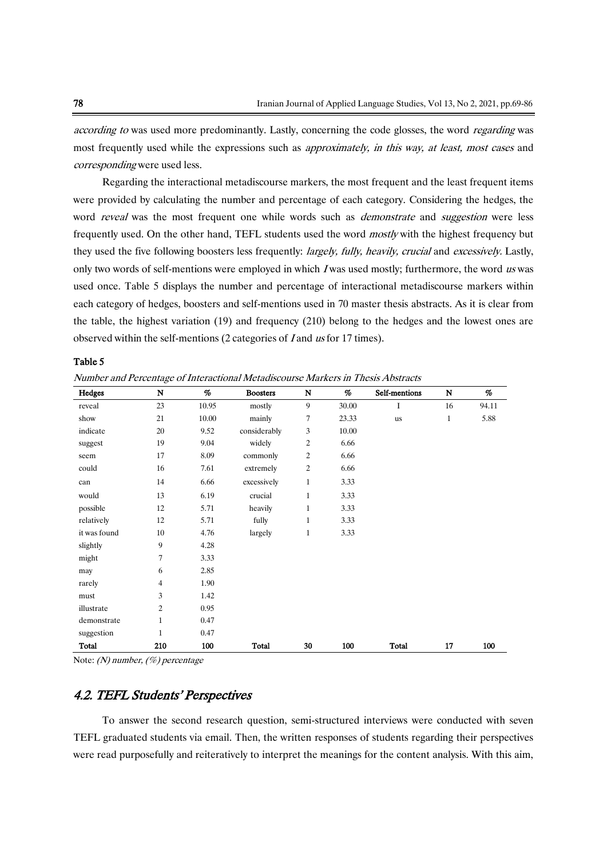according to was used more predominantly. Lastly, concerning the code glosses, the word *regarding* was most frequently used while the expressions such as *approximately, in this way, at least, most cases* and corresponding were used less.

Regarding the interactional metadiscourse markers, the most frequent and the least frequent items were provided by calculating the number and percentage of each category. Considering the hedges, the word reveal was the most frequent one while words such as *demonstrate* and *suggestion* were less frequently used. On the other hand, TEFL students used the word mostly with the highest frequency but they used the five following boosters less frequently: *largely, fully, heavily, crucial* and *excessively*. Lastly, only two words of self-mentions were employed in which I was used mostly; furthermore, the word us was used once. Table 5 displays the number and percentage of interactional metadiscourse markers within each category of hedges, boosters and self-mentions used in 70 master thesis abstracts. As it is clear from the table, the highest variation (19) and frequency (210) belong to the hedges and the lowest ones are observed within the self-mentions (2 categories of <sup>I</sup> and us for 17 times).

#### Table 5

Number and Percentage of Interactional Metadiscourse Markers in Thesis Abstracts

| Hedges       | $\mathbf N$    | %     | <b>Boosters</b> | N              | %     | Self-mentions | $\mathbf N$  | %     |
|--------------|----------------|-------|-----------------|----------------|-------|---------------|--------------|-------|
| reveal       | 23             | 10.95 | mostly          | 9              | 30.00 | I             | 16           | 94.11 |
| show         | 21             | 10.00 | mainly          | 7              | 23.33 | us            | $\mathbf{1}$ | 5.88  |
| indicate     | 20             | 9.52  | considerably    | 3              | 10.00 |               |              |       |
| suggest      | 19             | 9.04  | widely          | $\overline{c}$ | 6.66  |               |              |       |
| seem         | 17             | 8.09  | commonly        | $\overline{c}$ | 6.66  |               |              |       |
| could        | 16             | 7.61  | extremely       | $\overline{c}$ | 6.66  |               |              |       |
| can          | 14             | 6.66  | excessively     | $\mathbf{1}$   | 3.33  |               |              |       |
| would        | 13             | 6.19  | crucial         | $\mathbf{1}$   | 3.33  |               |              |       |
| possible     | 12             | 5.71  | heavily         | $\mathbf{1}$   | 3.33  |               |              |       |
| relatively   | 12             | 5.71  | fully           | $\mathbf{1}$   | 3.33  |               |              |       |
| it was found | 10             | 4.76  | largely         | $\mathbf{1}$   | 3.33  |               |              |       |
| slightly     | 9              | 4.28  |                 |                |       |               |              |       |
| might        | 7              | 3.33  |                 |                |       |               |              |       |
| may          | 6              | 2.85  |                 |                |       |               |              |       |
| rarely       | 4              | 1.90  |                 |                |       |               |              |       |
| must         | 3              | 1.42  |                 |                |       |               |              |       |
| illustrate   | $\overline{c}$ | 0.95  |                 |                |       |               |              |       |
| demonstrate  | $\mathbf{1}$   | 0.47  |                 |                |       |               |              |       |
| suggestion   | 1              | 0.47  |                 |                |       |               |              |       |
| <b>Total</b> | 210            | 100   | <b>Total</b>    | 30             | 100   | Total         | 17           | 100   |

Note: (N) number, (%) percentage

### 4.2. TEFL Students' Perspectives

To answer the second research question, semi-structured interviews were conducted with seven TEFL graduated students via email. Then, the written responses of students regarding their perspectives were read purposefully and reiteratively to interpret the meanings for the content analysis. With this aim,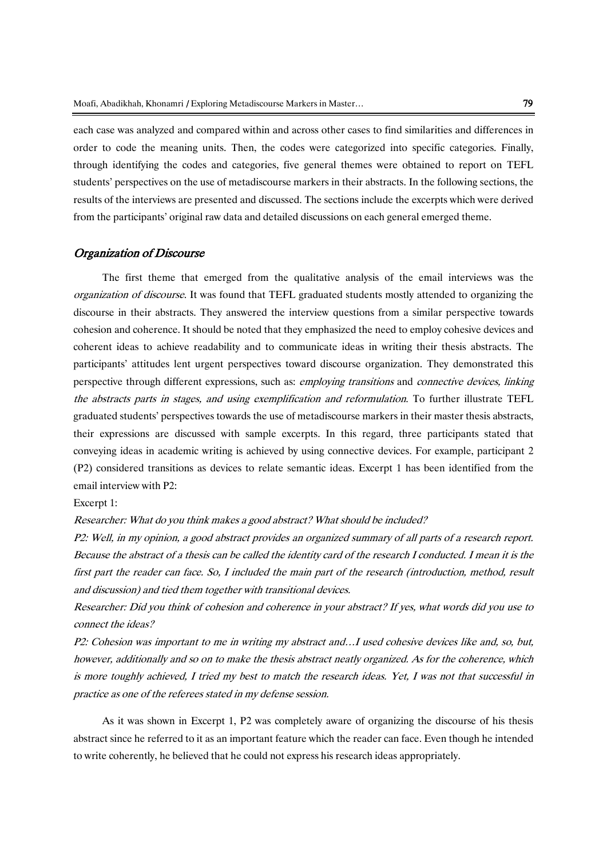each case was analyzed and compared within and across other cases to find similarities and differences in order to code the meaning units. Then, the codes were categorized into specific categories. Finally, through identifying the codes and categories, five general themes were obtained to report on TEFL students' perspectives on the use of metadiscourse markers in their abstracts. In the following sections, the results of the interviews are presented and discussed. The sections include the excerpts which were derived from the participants' original raw data and detailed discussions on each general emerged theme.

#### Organization of Discourse

The first theme that emerged from the qualitative analysis of the email interviews was the organization of discourse. It was found that TEFL graduated students mostly attended to organizing the discourse in their abstracts. They answered the interview questions from a similar perspective towards cohesion and coherence. It should be noted that they emphasized the need to employ cohesive devices and coherent ideas to achieve readability and to communicate ideas in writing their thesis abstracts. The participants' attitudes lent urgent perspectives toward discourse organization. They demonstrated this perspective through different expressions, such as: *employing transitions* and *connective devices, linking* the abstracts parts in stages, and using exemplification and reformulation. To further illustrate TEFL graduated students' perspectives towards the use of metadiscourse markers in their master thesis abstracts, their expressions are discussed with sample excerpts. In this regard, three participants stated that conveying ideas in academic writing is achieved by using connective devices. For example, participant 2 (P2) considered transitions as devices to relate semantic ideas. Excerpt 1 has been identified from the email interview with P2:

Excerpt 1:

Researcher: What do you think makes a good abstract? What should be included?

P2: Well, in my opinion, a good abstract provides an organized summary of all parts of a research report. Because the abstract of a thesis can be called the identity card of the research I conducted. I mean it is the first part the reader can face. So, I included the main part of the research (introduction, method, result and discussion) and tied them together with transitional devices.

Researcher: Did you think of cohesion and coherence in your abstract? If yes, what words did you use to connect the ideas?

P2: Cohesion was important to me in writing my abstract and…I used cohesive devices like and, so, but, however, additionally and so on to make the thesis abstract neatly organized. As for the coherence, which is more toughly achieved, I tried my best to match the research ideas. Yet, I was not that successful in practice as one of the referees stated in my defense session.

As it was shown in Excerpt 1, P2 was completely aware of organizing the discourse of his thesis abstract since he referred to it as an important feature which the reader can face. Even though he intended to write coherently, he believed that he could not express his research ideas appropriately.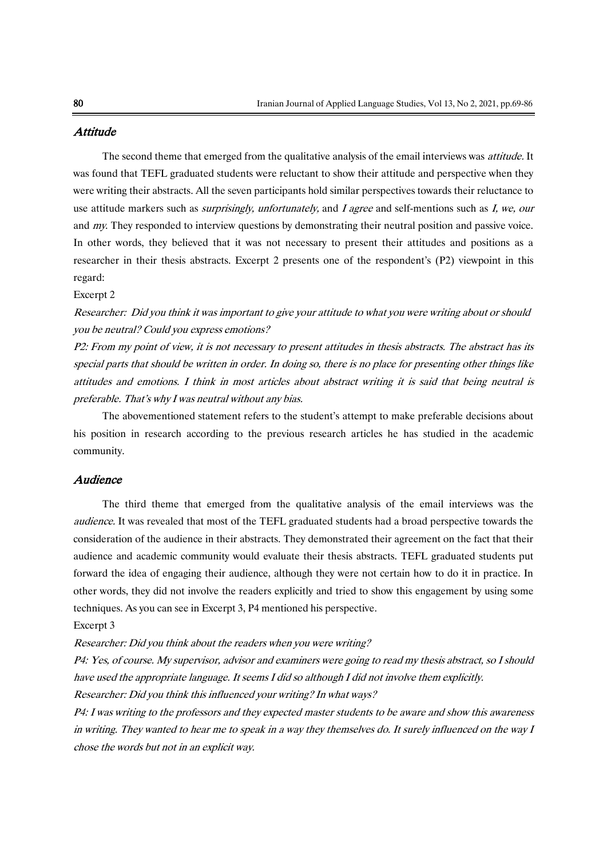### **Attitude**

The second theme that emerged from the qualitative analysis of the email interviews was *attitude*. It was found that TEFL graduated students were reluctant to show their attitude and perspective when they were writing their abstracts. All the seven participants hold similar perspectives towards their reluctance to use attitude markers such as *surprisingly, unfortunately*, and *I agree* and self-mentions such as *I, we, our* and my. They responded to interview questions by demonstrating their neutral position and passive voice. In other words, they believed that it was not necessary to present their attitudes and positions as a researcher in their thesis abstracts. Excerpt 2 presents one of the respondent's (P2) viewpoint in this regard:

#### Excerpt 2

Researcher: Did you think it was important to give your attitude to what you were writing about or should you be neutral? Could you express emotions?

P2: From my point of view, it is not necessary to present attitudes in thesis abstracts. The abstract has its special parts that should be written in order. In doing so, there is no place for presenting other things like attitudes and emotions. I think in most articles about abstract writing it is said that being neutral is preferable. That's why I was neutral without any bias.

The abovementioned statement refers to the student's attempt to make preferable decisions about his position in research according to the previous research articles he has studied in the academic community.

### **Audience**

The third theme that emerged from the qualitative analysis of the email interviews was the audience. It was revealed that most of the TEFL graduated students had a broad perspective towards the consideration of the audience in their abstracts. They demonstrated their agreement on the fact that their audience and academic community would evaluate their thesis abstracts. TEFL graduated students put forward the idea of engaging their audience, although they were not certain how to do it in practice. In other words, they did not involve the readers explicitly and tried to show this engagement by using some techniques. As you can see in Excerpt 3, P4 mentioned his perspective. Excerpt 3

Researcher: Did you think about the readers when you were writing?

P4: Yes, of course. My supervisor, advisor and examiners were going to read my thesis abstract, so I should have used the appropriate language. It seems I did so although I did not involve them explicitly. Researcher: Did you think this influenced your writing? In what ways?

P4: I was writing to the professors and they expected master students to be aware and show this awareness in writing. They wanted to hear me to speak in a way they themselves do. It surely influenced on the way I

chose the words but not in an explicit way.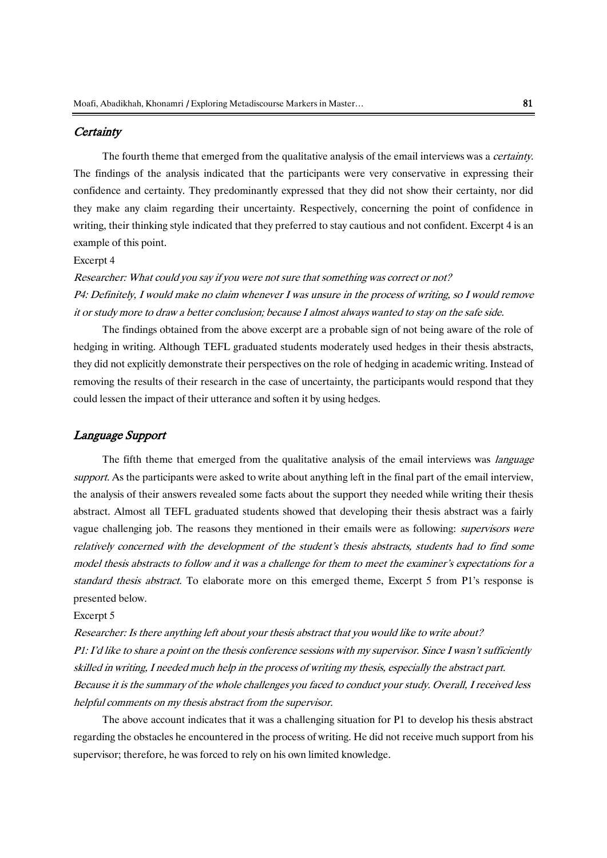### **Certainty**

The fourth theme that emerged from the qualitative analysis of the email interviews was a *certainty*. The findings of the analysis indicated that the participants were very conservative in expressing their confidence and certainty. They predominantly expressed that they did not show their certainty, nor did they make any claim regarding their uncertainty. Respectively, concerning the point of confidence in writing, their thinking style indicated that they preferred to stay cautious and not confident. Excerpt 4 is an example of this point.

#### Excerpt 4

Researcher: What could you say if you were not sure that something was correct or not? P4: Definitely, I would make no claim whenever I was unsure in the process of writing, so I would remove it or study more to draw a better conclusion; because I almost always wanted to stay on the safe side.

The findings obtained from the above excerpt are a probable sign of not being aware of the role of hedging in writing. Although TEFL graduated students moderately used hedges in their thesis abstracts, they did not explicitly demonstrate their perspectives on the role of hedging in academic writing. Instead of removing the results of their research in the case of uncertainty, the participants would respond that they could lessen the impact of their utterance and soften it by using hedges.

### Language Support

The fifth theme that emerged from the qualitative analysis of the email interviews was *language* support. As the participants were asked to write about anything left in the final part of the email interview, the analysis of their answers revealed some facts about the support they needed while writing their thesis abstract. Almost all TEFL graduated students showed that developing their thesis abstract was a fairly vague challenging job. The reasons they mentioned in their emails were as following: *supervisors were* relatively concerned with the development of the student's thesis abstracts, students had to find some model thesis abstracts to follow and it was a challenge for them to meet the examiner's expectations for a standard thesis abstract. To elaborate more on this emerged theme, Excerpt 5 from P1's response is presented below.

#### Excerpt 5

Researcher: Is there anything left about your thesis abstract that you would like to write about? P1: I'd like to share a point on the thesis conference sessions with my supervisor. Since I wasn't sufficiently skilled in writing, I needed much help in the process of writing my thesis, especially the abstract part. Because it is the summary of the whole challenges you faced to conduct your study. Overall, I received less helpful comments on my thesis abstract from the supervisor.

The above account indicates that it was a challenging situation for P1 to develop his thesis abstract regarding the obstacles he encountered in the process of writing. He did not receive much support from his supervisor; therefore, he was forced to rely on his own limited knowledge.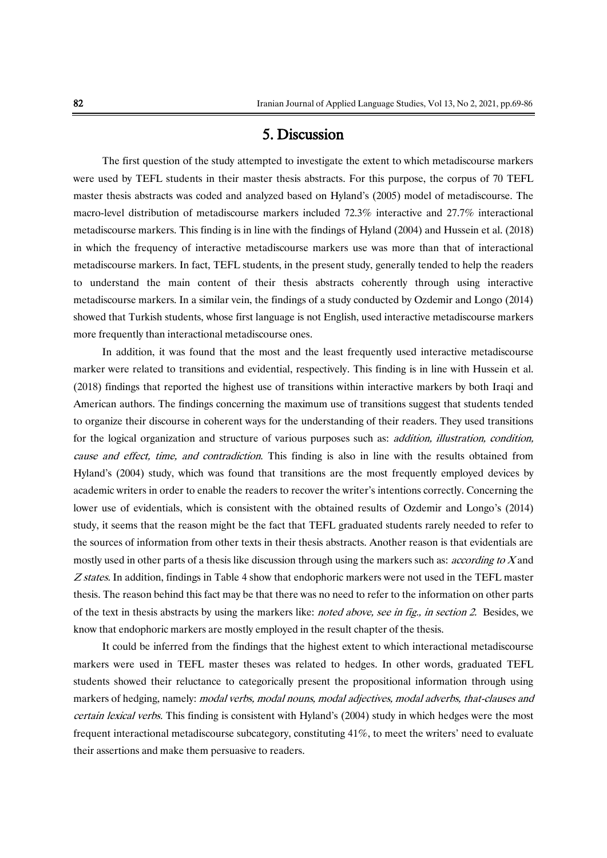# 5. Discussion

The first question of the study attempted to investigate the extent to which metadiscourse markers were used by TEFL students in their master thesis abstracts. For this purpose, the corpus of 70 TEFL master thesis abstracts was coded and analyzed based on Hyland's (2005) model of metadiscourse. The macro-level distribution of metadiscourse markers included 72.3% interactive and 27.7% interactional metadiscourse markers. This finding is in line with the findings of Hyland (2004) and Hussein et al. (2018) in which the frequency of interactive metadiscourse markers use was more than that of interactional metadiscourse markers. In fact, TEFL students, in the present study, generally tended to help the readers to understand the main content of their thesis abstracts coherently through using interactive metadiscourse markers. In a similar vein, the findings of a study conducted by Ozdemir and Longo (2014) showed that Turkish students, whose first language is not English, used interactive metadiscourse markers more frequently than interactional metadiscourse ones.

In addition, it was found that the most and the least frequently used interactive metadiscourse marker were related to transitions and evidential, respectively. This finding is in line with Hussein et al. (2018) findings that reported the highest use of transitions within interactive markers by both Iraqi and American authors. The findings concerning the maximum use of transitions suggest that students tended to organize their discourse in coherent ways for the understanding of their readers. They used transitions for the logical organization and structure of various purposes such as: *addition, illustration, condition,* cause and effect, time, and contradiction. This finding is also in line with the results obtained from Hyland's (2004) study, which was found that transitions are the most frequently employed devices by academic writers in order to enable the readers to recover the writer's intentions correctly. Concerning the lower use of evidentials, which is consistent with the obtained results of Ozdemir and Longo's (2014) study, it seems that the reason might be the fact that TEFL graduated students rarely needed to refer to the sources of information from other texts in their thesis abstracts. Another reason is that evidentials are mostly used in other parts of a thesis like discussion through using the markers such as: *according to X* and Z states. In addition, findings in Table 4 show that endophoric markers were not used in the TEFL master thesis. The reason behind this fact may be that there was no need to refer to the information on other parts of the text in thesis abstracts by using the markers like: *noted above, see in fig., in section 2*. Besides, we know that endophoric markers are mostly employed in the result chapter of the thesis.

It could be inferred from the findings that the highest extent to which interactional metadiscourse markers were used in TEFL master theses was related to hedges. In other words, graduated TEFL students showed their reluctance to categorically present the propositional information through using markers of hedging, namely: modal verbs, modal nouns, modal adjectives, modal adverbs, that-clauses and certain lexical verbs. This finding is consistent with Hyland's (2004) study in which hedges were the most frequent interactional metadiscourse subcategory, constituting 41%, to meet the writers' need to evaluate their assertions and make them persuasive to readers.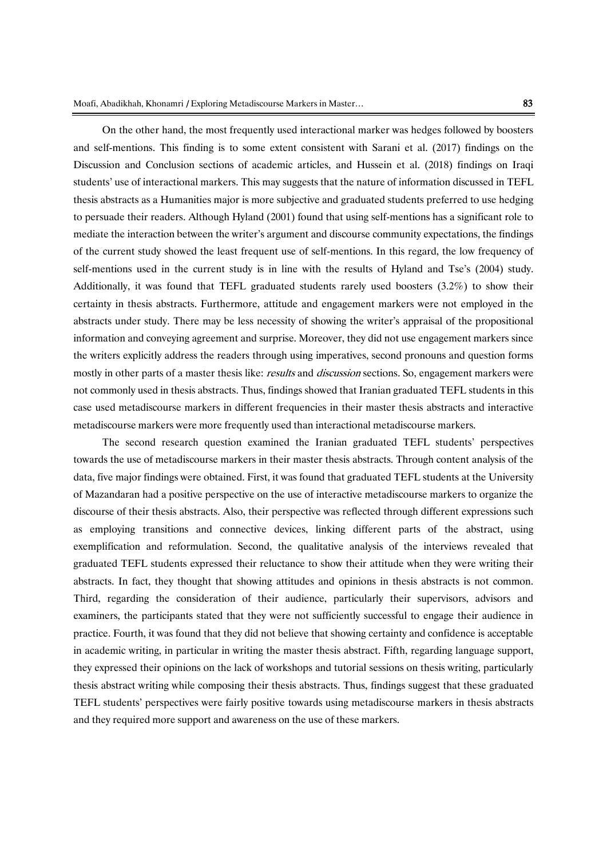On the other hand, the most frequently used interactional marker was hedges followed by boosters and self-mentions. This finding is to some extent consistent with Sarani et al. (2017) findings on the Discussion and Conclusion sections of academic articles, and Hussein et al. (2018) findings on Iraqi students' use of interactional markers. This may suggests that the nature of information discussed in TEFL thesis abstracts as a Humanities major is more subjective and graduated students preferred to use hedging to persuade their readers. Although Hyland (2001) found that using self-mentions has a significant role to mediate the interaction between the writer's argument and discourse community expectations, the findings of the current study showed the least frequent use of self-mentions. In this regard, the low frequency of self-mentions used in the current study is in line with the results of Hyland and Tse's (2004) study. Additionally, it was found that TEFL graduated students rarely used boosters (3.2%) to show their certainty in thesis abstracts. Furthermore, attitude and engagement markers were not employed in the abstracts under study. There may be less necessity of showing the writer's appraisal of the propositional information and conveying agreement and surprise. Moreover, they did not use engagement markers since the writers explicitly address the readers through using imperatives, second pronouns and question forms mostly in other parts of a master thesis like: *results* and *discussion* sections. So, engagement markers were not commonly used in thesis abstracts. Thus, findings showed that Iranian graduated TEFL students in this case used metadiscourse markers in different frequencies in their master thesis abstracts and interactive metadiscourse markers were more frequently used than interactional metadiscourse markers.

The second research question examined the Iranian graduated TEFL students' perspectives towards the use of metadiscourse markers in their master thesis abstracts. Through content analysis of the data, five major findings were obtained. First, it was found that graduated TEFL students at the University of Mazandaran had a positive perspective on the use of interactive metadiscourse markers to organize the discourse of their thesis abstracts. Also, their perspective was reflected through different expressions such as employing transitions and connective devices, linking different parts of the abstract, using exemplification and reformulation. Second, the qualitative analysis of the interviews revealed that graduated TEFL students expressed their reluctance to show their attitude when they were writing their abstracts. In fact, they thought that showing attitudes and opinions in thesis abstracts is not common. Third, regarding the consideration of their audience, particularly their supervisors, advisors and examiners, the participants stated that they were not sufficiently successful to engage their audience in practice. Fourth, it was found that they did not believe that showing certainty and confidence is acceptable in academic writing, in particular in writing the master thesis abstract. Fifth, regarding language support, they expressed their opinions on the lack of workshops and tutorial sessions on thesis writing, particularly thesis abstract writing while composing their thesis abstracts. Thus, findings suggest that these graduated TEFL students' perspectives were fairly positive towards using metadiscourse markers in thesis abstracts and they required more support and awareness on the use of these markers.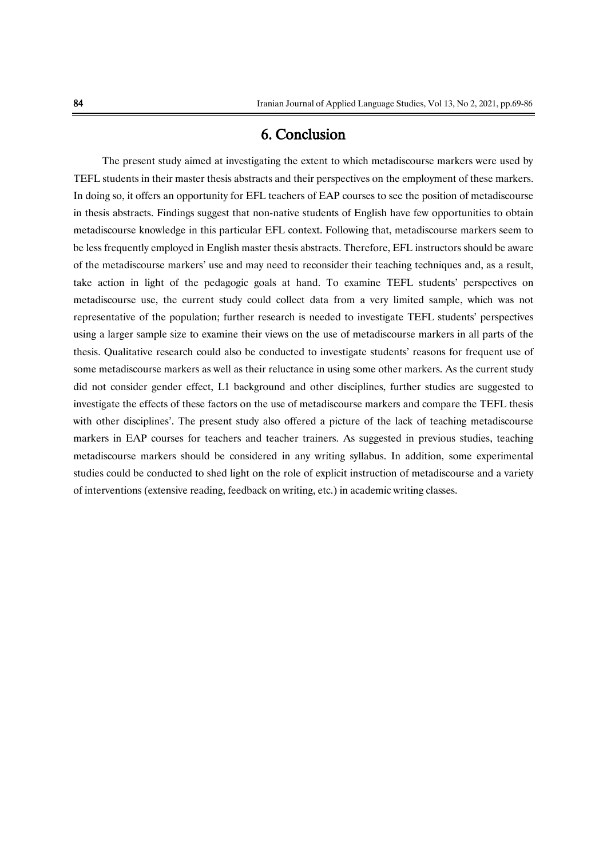# 6. Conclusion

The present study aimed at investigating the extent to which metadiscourse markers were used by TEFL students in their master thesis abstracts and their perspectives on the employment of these markers. In doing so, it offers an opportunity for EFL teachers of EAP courses to see the position of metadiscourse in thesis abstracts. Findings suggest that non-native students of English have few opportunities to obtain metadiscourse knowledge in this particular EFL context. Following that, metadiscourse markers seem to be less frequently employed in English master thesis abstracts. Therefore, EFL instructors should be aware of the metadiscourse markers' use and may need to reconsider their teaching techniques and, as a result, take action in light of the pedagogic goals at hand. To examine TEFL students' perspectives on metadiscourse use, the current study could collect data from a very limited sample, which was not representative of the population; further research is needed to investigate TEFL students' perspectives using a larger sample size to examine their views on the use of metadiscourse markers in all parts of the thesis. Qualitative research could also be conducted to investigate students' reasons for frequent use of some metadiscourse markers as well as their reluctance in using some other markers. As the current study did not consider gender effect, L1 background and other disciplines, further studies are suggested to investigate the effects of these factors on the use of metadiscourse markers and compare the TEFL thesis with other disciplines'. The present study also offered a picture of the lack of teaching metadiscourse markers in EAP courses for teachers and teacher trainers. As suggested in previous studies, teaching metadiscourse markers should be considered in any writing syllabus. In addition, some experimental studies could be conducted to shed light on the role of explicit instruction of metadiscourse and a variety of interventions (extensive reading, feedback on writing, etc.) in academic writing classes.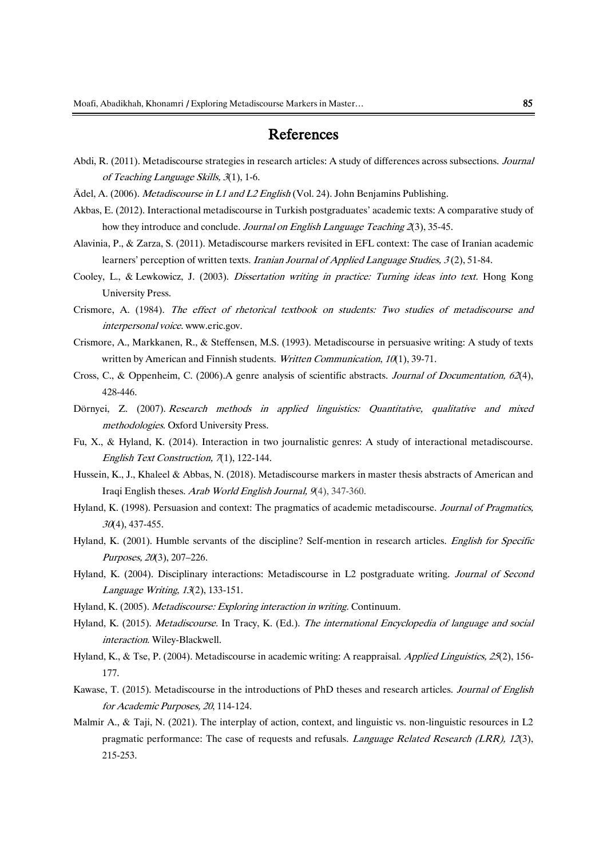# References

- Abdi, R. (2011). Metadiscourse strategies in research articles: A study of differences across subsections. Journal of Teaching Language Skills, 3(1), 1-6.
- Ädel, A. (2006). Metadiscourse in L1 and L2 English (Vol. 24). John Benjamins Publishing.
- Akbas, E. (2012). Interactional metadiscourse in Turkish postgraduates' academic texts: A comparative study of how they introduce and conclude. Journal on English Language Teaching 2(3), 35-45.
- Alavinia, P., & Zarza, S. (2011). Metadiscourse markers revisited in EFL context: The case of Iranian academic learners' perception of written texts. Iranian Journal of Applied Language Studies, 3 (2), 51-84.
- Cooley, L., & Lewkowicz, J. (2003). Dissertation writing in practice: Turning ideas into text. Hong Kong University Press.
- Crismore, A. (1984). The effect of rhetorical textbook on students: Two studies of metadiscourse and interpersonal voice[. www.eric.gov.](http://www.eric.gov/)
- Crismore, A., Markkanen, R., & Steffensen, M.S. (1993). Metadiscourse in persuasive writing: A study of texts written by American and Finnish students. Written Communication, 10(1), 39-71.
- Cross, C., & Oppenheim, C. (2006).A genre analysis of scientific abstracts. Journal of Documentation, 62(4), 428-446.
- Dörnyei, Z. (2007). Research methods in applied linguistics: Quantitative, qualitative and mixed methodologies. Oxford University Press.
- Fu, X., & Hyland, K. (2014). Interaction in two journalistic genres: A study of interactional metadiscourse. English Text Construction, 7(1), 122-144.
- Hussein, K., J., Khaleel & Abbas, N. (2018). Metadiscourse markers in master thesis abstracts of American and Iraqi English theses. Arab World English Journal, 9(4), 347-360.
- Hyland, K. (1998). Persuasion and context: The pragmatics of academic metadiscourse. Journal of Pragmatics,  $30(4)$ , 437-455.
- Hyland, K. (2001). Humble servants of the discipline? Self-mention in research articles. English for Specific Purposes, 20(3), 207–226.
- Hyland, K. (2004). Disciplinary interactions: Metadiscourse in L2 postgraduate writing. Journal of Second Language Writing, 13(2), 133-151.
- Hyland, K. (2005). Metadiscourse: Exploring interaction in writing. Continuum.
- Hyland, K. (2015). Metadiscourse. In Tracy, K. (Ed.). The international Encyclopedia of language and social interaction. Wiley-Blackwell.
- Hyland, K., & Tse, P. (2004). Metadiscourse in academic writing: A reappraisal. Applied Linguistics, 25(2), 156-177.
- Kawase, T. (2015). Metadiscourse in the introductions of PhD theses and research articles. Journal of English for Academic Purposes, 20, 114-124.
- Malmir A., & Taji, N. (2021). The interplay of action, context, and linguistic vs. non-linguistic resources in L2 pragmatic performance: The case of requests and refusals. *Language Related Research (LRR), 12*(3), 215-253.